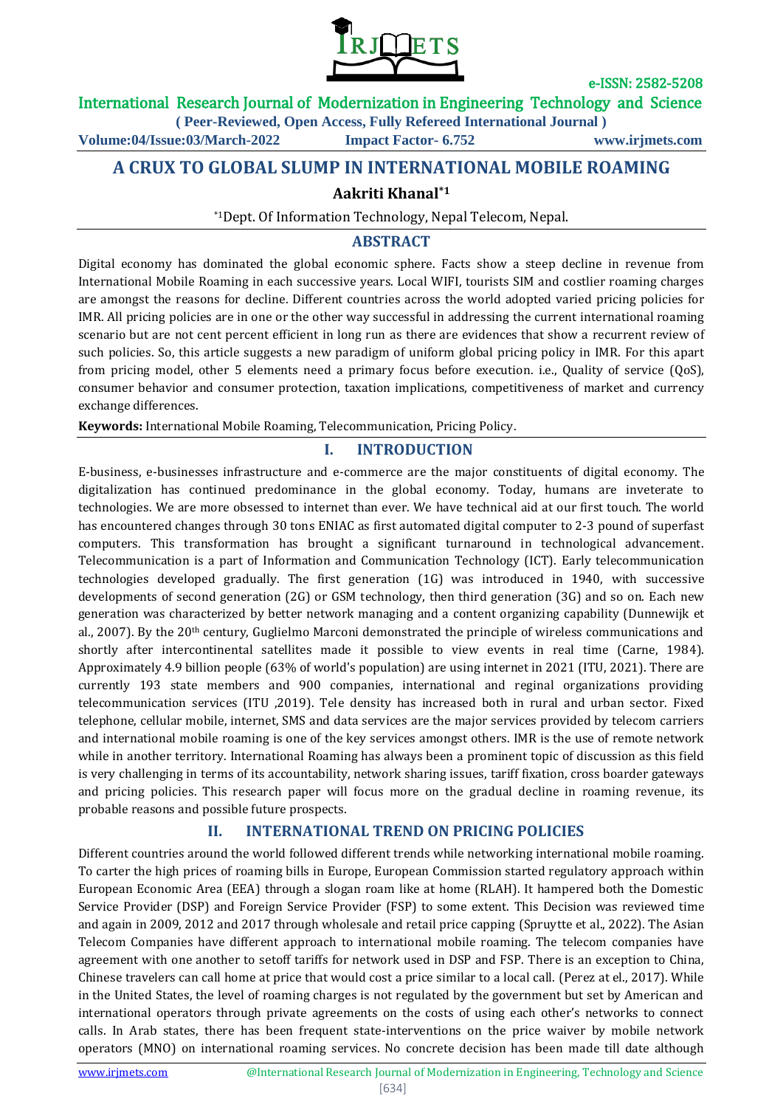

## International Research Journal of Modernization in Engineering Technology and Science

**( Peer-Reviewed, Open Access, Fully Refereed International Journal )**

**Volume:04/Issue:03/March-2022 Impact Factor- 6.752 www.irjmets.com**

**A CRUX TO GLOBAL SLUMP IN INTERNATIONAL MOBILE ROAMING**

## **Aakriti Khanal\*1**

\*1Dept. Of Information Technology, Nepal Telecom, Nepal.

### **ABSTRACT**

Digital economy has dominated the global economic sphere. Facts show a steep decline in revenue from International Mobile Roaming in each successive years. Local WIFI, tourists SIM and costlier roaming charges are amongst the reasons for decline. Different countries across the world adopted varied pricing policies for IMR. All pricing policies are in one or the other way successful in addressing the current international roaming scenario but are not cent percent efficient in long run as there are evidences that show a recurrent review of such policies. So, this article suggests a new paradigm of uniform global pricing policy in IMR. For this apart from pricing model, other 5 elements need a primary focus before execution. i.e., Quality of service (QoS), consumer behavior and consumer protection, taxation implications, competitiveness of market and currency exchange differences.

**Keywords:** International Mobile Roaming, Telecommunication, Pricing Policy.

## **I. INTRODUCTION**

E-business, e-businesses infrastructure and e-commerce are the major constituents of digital economy. The digitalization has continued predominance in the global economy. Today, humans are inveterate to technologies. We are more obsessed to internet than ever. We have technical aid at our first touch. The world has encountered changes through 30 tons ENIAC as first automated digital computer to 2-3 pound of superfast computers. This transformation has brought a significant turnaround in technological advancement. Telecommunication is a part of Information and Communication Technology (ICT). Early telecommunication technologies developed gradually. The first generation (1G) was introduced in 1940, with successive developments of second generation (2G) or GSM technology, then third generation (3G) and so on. Each new generation was characterized by better network managing and a content organizing capability (Dunnewijk et al., 2007). By the 20th century, Guglielmo Marconi demonstrated the principle of wireless communications and shortly after intercontinental satellites made it possible to view events in real time (Carne, 1984). Approximately 4.9 billion people (63% of world's population) are using internet in 2021 (ITU, 2021). There are currently 193 state members and 900 companies, international and reginal organizations providing telecommunication services (ITU ,2019). Tele density has increased both in rural and urban sector. Fixed telephone, cellular mobile, internet, SMS and data services are the major services provided by telecom carriers and international mobile roaming is one of the key services amongst others. IMR is the use of remote network while in another territory. International Roaming has always been a prominent topic of discussion as this field is very challenging in terms of its accountability, network sharing issues, tariff fixation, cross boarder gateways and pricing policies. This research paper will focus more on the gradual decline in roaming revenue, its probable reasons and possible future prospects.

# **II. INTERNATIONAL TREND ON PRICING POLICIES**

Different countries around the world followed different trends while networking international mobile roaming. To carter the high prices of roaming bills in Europe, European Commission started regulatory approach within European Economic Area (EEA) through a slogan roam like at home (RLAH). It hampered both the Domestic Service Provider (DSP) and Foreign Service Provider (FSP) to some extent. This Decision was reviewed time and again in 2009, 2012 and 2017 through wholesale and retail price capping (Spruytte et al., 2022). The Asian Telecom Companies have different approach to international mobile roaming. The telecom companies have agreement with one another to setoff tariffs for network used in DSP and FSP. There is an exception to China, Chinese travelers can call home at price that would cost a price similar to a local call. (Perez at el., 2017). While in the United States, the level of roaming charges is not regulated by the government but set by American and international operators through private agreements on the costs of using each other's networks to connect calls. In Arab states, there has been frequent state-interventions on the price waiver by mobile network operators (MNO) on international roaming services. No concrete decision has been made till date although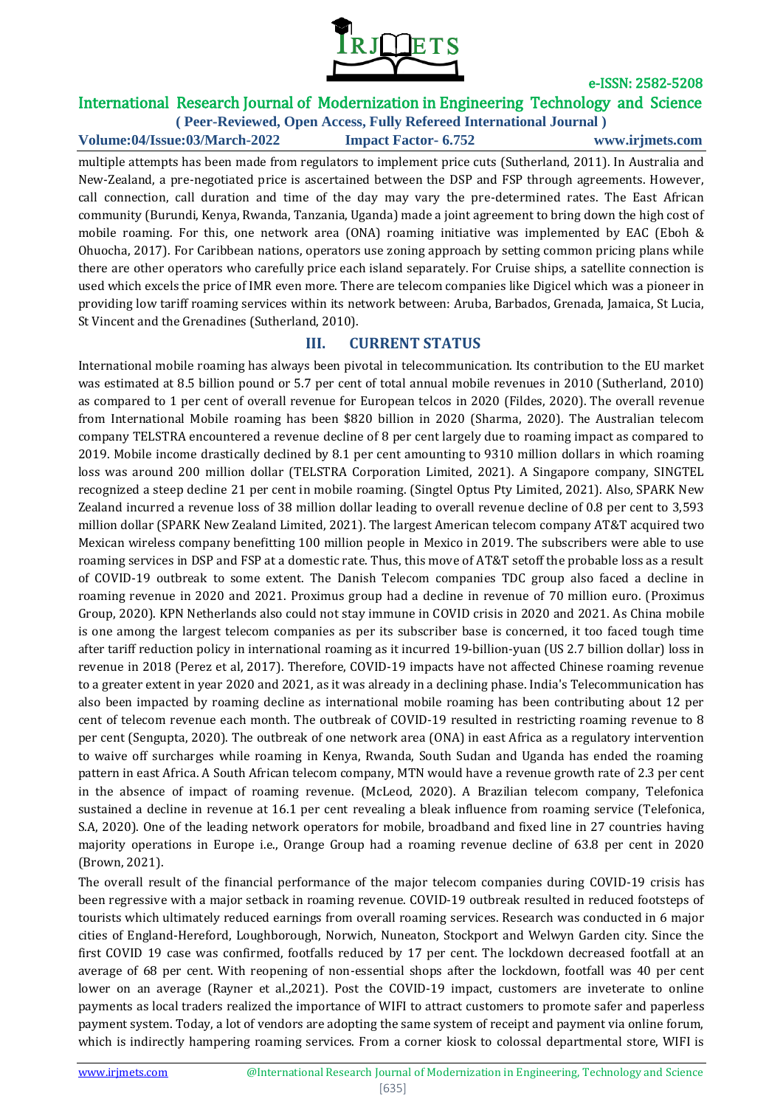

# International Research Journal of Modernization in Engineering Technology and Science

**( Peer-Reviewed, Open Access, Fully Refereed International Journal ) Volume:04/Issue:03/March-2022 Impact Factor- 6.752 www.irjmets.com**

multiple attempts has been made from regulators to implement price cuts (Sutherland, 2011). In Australia and New-Zealand, a pre-negotiated price is ascertained between the DSP and FSP through agreements. However, call connection, call duration and time of the day may vary the pre-determined rates. The East African community (Burundi, Kenya, Rwanda, Tanzania, Uganda) made a joint agreement to bring down the high cost of mobile roaming. For this, one network area (ONA) roaming initiative was implemented by EAC (Eboh & Ohuocha, 2017). For Caribbean nations, operators use zoning approach by setting common pricing plans while there are other operators who carefully price each island separately. For Cruise ships, a satellite connection is used which excels the price of IMR even more. There are telecom companies like Digicel which was a pioneer in providing low tariff roaming services within its network between: Aruba, Barbados, Grenada, Jamaica, St Lucia, St Vincent and the Grenadines (Sutherland, 2010).

## **III. CURRENT STATUS**

International mobile roaming has always been pivotal in telecommunication. Its contribution to the EU market was estimated at 8.5 billion pound or 5.7 per cent of total annual mobile revenues in 2010 (Sutherland, 2010) as compared to 1 per cent of overall revenue for European telcos in 2020 (Fildes, 2020). The overall revenue from International Mobile roaming has been \$820 billion in 2020 (Sharma, 2020). The Australian telecom company TELSTRA encountered a revenue decline of 8 per cent largely due to roaming impact as compared to 2019. Mobile income drastically declined by 8.1 per cent amounting to 9310 million dollars in which roaming loss was around 200 million dollar (TELSTRA Corporation Limited, 2021). A Singapore company, SINGTEL recognized a steep decline 21 per cent in mobile roaming. (Singtel Optus Pty Limited, 2021). Also, SPARK New Zealand incurred a revenue loss of 38 million dollar leading to overall revenue decline of 0.8 per cent to 3,593 million dollar (SPARK New Zealand Limited, 2021). The largest American telecom company AT&T acquired two Mexican wireless company benefitting 100 million people in Mexico in 2019. The subscribers were able to use roaming services in DSP and FSP at a domestic rate. Thus, this move of AT&T setoff the probable loss as a result of COVID-19 outbreak to some extent. The Danish Telecom companies TDC group also faced a decline in roaming revenue in 2020 and 2021. Proximus group had a decline in revenue of 70 million euro. (Proximus Group, 2020). KPN Netherlands also could not stay immune in COVID crisis in 2020 and 2021. As China mobile is one among the largest telecom companies as per its subscriber base is concerned, it too faced tough time after tariff reduction policy in international roaming as it incurred 19-billion-yuan (US 2.7 billion dollar) loss in revenue in 2018 [\(Perez](https://www.scmp.com/author/bien-perez) et al, 2017). Therefore, COVID-19 impacts have not affected Chinese roaming revenue to a greater extent in year 2020 and 2021, as it was already in a declining phase. India's Telecommunication has also been impacted by roaming decline as international mobile roaming has been contributing about 12 per cent of telecom revenue each month. The outbreak of COVID-19 resulted in restricting roaming revenue to 8 per cent (Sengupta, 2020). The outbreak of one network area (ONA) in east Africa as a regulatory intervention to waive off surcharges while roaming in Kenya, Rwanda, South Sudan and Uganda has ended the roaming pattern in east Africa. A South African telecom company, MTN would have a revenue growth rate of 2.3 per cent in the absence of impact of roaming revenue. (McLeod, 2020). A Brazilian telecom company, Telefonica sustained a decline in revenue at 16.1 per cent revealing a bleak influence from roaming service (Telefonica, S.A, 2020). One of the leading network operators for mobile, broadband and fixed line in 27 countries having majority operations in Europe i.e., Orange Group had a roaming revenue decline of 63.8 per cent in 2020 (Brown, 2021).

The overall result of the financial performance of the major telecom companies during COVID-19 crisis has been regressive with a major setback in roaming revenue. COVID-19 outbreak resulted in reduced footsteps of tourists which ultimately reduced earnings from overall roaming services. Research was conducted in 6 major cities of England-Hereford, Loughborough, Norwich, Nuneaton, Stockport and Welwyn Garden city. Since the first COVID 19 case was confirmed, footfalls reduced by 17 per cent. The lockdown decreased footfall at an average of 68 per cent. With reopening of non-essential shops after the lockdown, footfall was 40 per cent lower on an average (Rayner et al.,2021). Post the COVID-19 impact, customers are inveterate to online payments as local traders realized the importance of WIFI to attract customers to promote safer and paperless payment system. Today, a lot of vendors are adopting the same system of receipt and payment via online forum, which is indirectly hampering roaming services. From a corner kiosk to colossal departmental store, WIFI is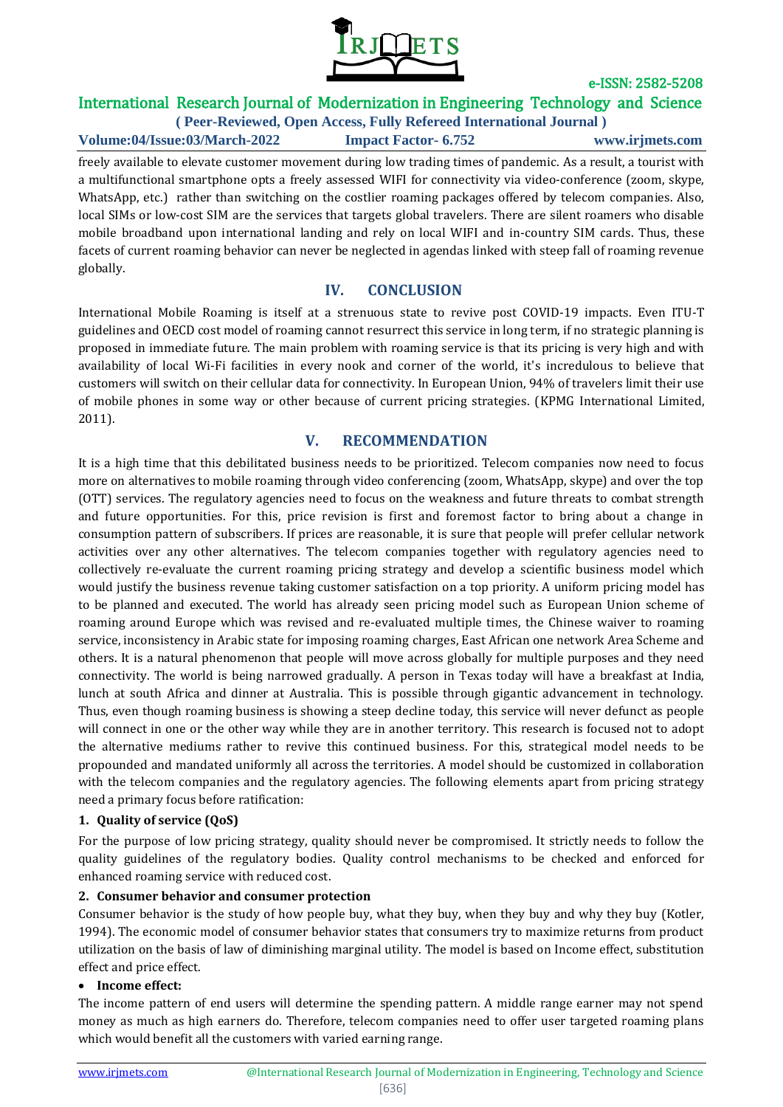

# International Research Journal of Modernization in Engineering Technology and Science

**( Peer-Reviewed, Open Access, Fully Refereed International Journal ) Volume:04/Issue:03/March-2022 Impact Factor- 6.752 www.irjmets.com**

freely available to elevate customer movement during low trading times of pandemic. As a result, a tourist with a multifunctional smartphone opts a freely assessed WIFI for connectivity via video-conference (zoom, skype, WhatsApp, etc.) rather than switching on the costlier roaming packages offered by telecom companies. Also, local SIMs or low-cost SIM are the services that targets global travelers. There are silent roamers who disable mobile broadband upon international landing and rely on local WIFI and in-country SIM cards. Thus, these facets of current roaming behavior can never be neglected in agendas linked with steep fall of roaming revenue globally.

## **IV. CONCLUSION**

International Mobile Roaming is itself at a strenuous state to revive post COVID-19 impacts. Even ITU-T guidelines and OECD cost model of roaming cannot resurrect this service in long term, if no strategic planning is proposed in immediate future. The main problem with roaming service is that its pricing is very high and with availability of local Wi-Fi facilities in every nook and corner of the world, it's incredulous to believe that customers will switch on their cellular data for connectivity. In European Union, 94% of travelers limit their use of mobile phones in some way or other because of current pricing strategies. (KPMG International Limited, 2011).

## **V. RECOMMENDATION**

It is a high time that this debilitated business needs to be prioritized. Telecom companies now need to focus more on alternatives to mobile roaming through video conferencing (zoom, WhatsApp, skype) and over the top (OTT) services. The regulatory agencies need to focus on the weakness and future threats to combat strength and future opportunities. For this, price revision is first and foremost factor to bring about a change in consumption pattern of subscribers. If prices are reasonable, it is sure that people will prefer cellular network activities over any other alternatives. The telecom companies together with regulatory agencies need to collectively re-evaluate the current roaming pricing strategy and develop a scientific business model which would justify the business revenue taking customer satisfaction on a top priority. A uniform pricing model has to be planned and executed. The world has already seen pricing model such as European Union scheme of roaming around Europe which was revised and re-evaluated multiple times, the Chinese waiver to roaming service, inconsistency in Arabic state for imposing roaming charges, East African one network Area Scheme and others. It is a natural phenomenon that people will move across globally for multiple purposes and they need connectivity. The world is being narrowed gradually. A person in Texas today will have a breakfast at India, lunch at south Africa and dinner at Australia. This is possible through gigantic advancement in technology. Thus, even though roaming business is showing a steep decline today, this service will never defunct as people will connect in one or the other way while they are in another territory. This research is focused not to adopt the alternative mediums rather to revive this continued business. For this, strategical model needs to be propounded and mandated uniformly all across the territories. A model should be customized in collaboration with the telecom companies and the regulatory agencies. The following elements apart from pricing strategy need a primary focus before ratification:

#### **1. Quality of service (QoS)**

For the purpose of low pricing strategy, quality should never be compromised. It strictly needs to follow the quality guidelines of the regulatory bodies. Quality control mechanisms to be checked and enforced for enhanced roaming service with reduced cost.

#### **2. Consumer behavior and consumer protection**

Consumer behavior is the study of how people buy, what they buy, when they buy and why they buy (Kotler, 1994). The economic model of consumer behavior states that consumers try to maximize returns from product utilization on the basis of law of diminishing marginal utility. The model is based on Income effect, substitution effect and price effect.

#### **Income effect:**

The income pattern of end users will determine the spending pattern. A middle range earner may not spend money as much as high earners do. Therefore, telecom companies need to offer user targeted roaming plans which would benefit all the customers with varied earning range.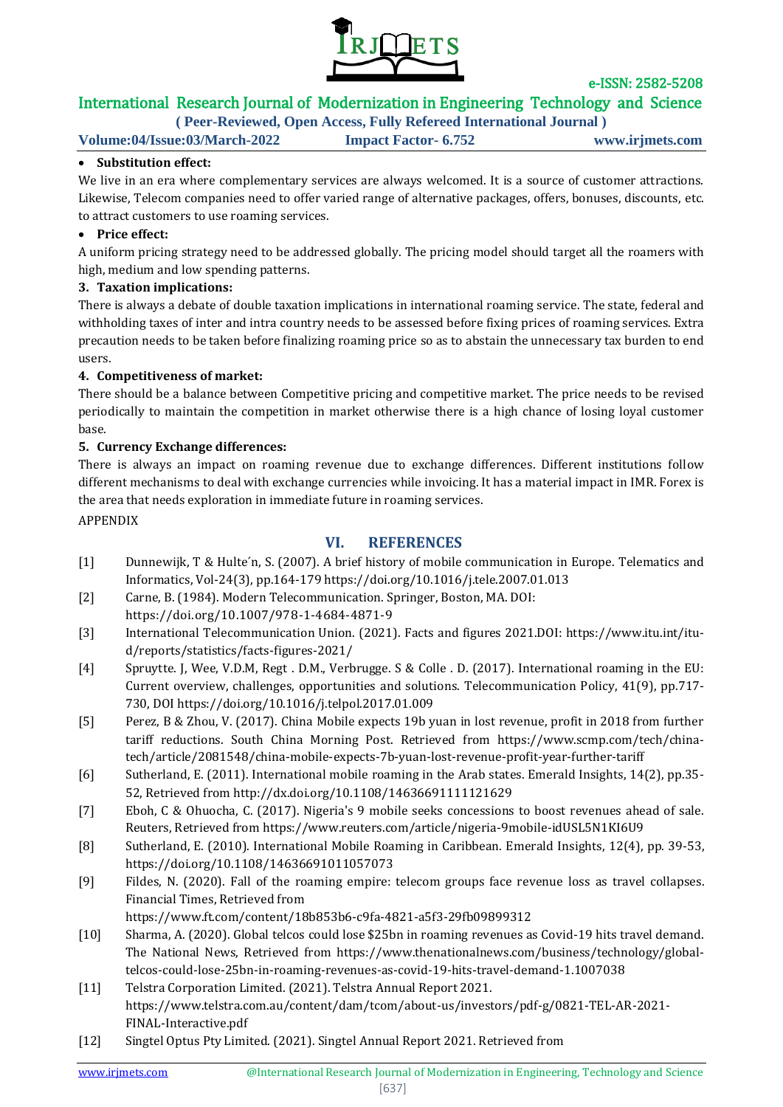

# International Research Journal of Modernization in Engineering Technology and Science

**( Peer-Reviewed, Open Access, Fully Refereed International Journal )**

**Volume:04/Issue:03/March-2022 Impact Factor- 6.752 www.irjmets.com**

#### **Substitution effect:**

We live in an era where complementary services are always welcomed. It is a source of customer attractions. Likewise, Telecom companies need to offer varied range of alternative packages, offers, bonuses, discounts, etc. to attract customers to use roaming services.

#### **Price effect:**

A uniform pricing strategy need to be addressed globally. The pricing model should target all the roamers with high, medium and low spending patterns.

#### **3. Taxation implications:**

There is always a debate of double taxation implications in international roaming service. The state, federal and withholding taxes of inter and intra country needs to be assessed before fixing prices of roaming services. Extra precaution needs to be taken before finalizing roaming price so as to abstain the unnecessary tax burden to end users.

#### **4. Competitiveness of market:**

There should be a balance between Competitive pricing and competitive market. The price needs to be revised periodically to maintain the competition in market otherwise there is a high chance of losing loyal customer base.

#### **5. Currency Exchange differences:**

There is always an impact on roaming revenue due to exchange differences. Different institutions follow different mechanisms to deal with exchange currencies while invoicing. It has a material impact in IMR. Forex is the area that needs exploration in immediate future in roaming services.

APPENDIX

## **VI. REFERENCES**

- [1] Dunnewijk, T & Hulte´n, S. (2007). A brief history of mobile communication in Europe. Telematics and Informatics, Vol-24(3), pp.164-179<https://doi.org/10.1016/j.tele.2007.01.013>
- [2] Carne, B. (1984). Modern Telecommunication. Springer, Boston, MA. DOI: <https://doi.org/10.1007/978-1-4684-4871-9>
- [3] International Telecommunication Union. (2021). Facts and figures 2021.DOI: [https://www.itu.int/itu](https://www.itu.int/itu-d/reports/statistics/facts-figures-2021/)[d/reports/statistics/facts-figures-2021/](https://www.itu.int/itu-d/reports/statistics/facts-figures-2021/)
- [4] Spruytte. J, Wee, V.D.M, Regt . D.M., Verbrugge. S & Colle . D. (2017). International roaming in the EU: Current overview, challenges, opportunities and solutions. Telecommunication Policy, 41(9), pp.717- 730, DOI<https://doi.org/10.1016/j.telpol.2017.01.009>
- [5] Perez, B & Zhou, V. (2017). China Mobile expects 19b yuan in lost revenue, profit in 2018 from further tariff reductions. South China Morning Post. Retrieved from [https://www.scmp.com/tech/china](https://www.scmp.com/tech/china-tech/article/2081548/china-mobile-expects-7b-yuan-lost-revenue-profit-year-further-tariff)[tech/article/2081548/china-mobile-expects-7b-yuan-lost-revenue-profit-year-further-tariff](https://www.scmp.com/tech/china-tech/article/2081548/china-mobile-expects-7b-yuan-lost-revenue-profit-year-further-tariff)
- [6] Sutherland, E. (2011). International mobile roaming in the Arab states. Emerald Insights, 14(2), pp.35- 52, Retrieved from<http://dx.doi.org/10.1108/14636691111121629>
- [7] Eboh, C & Ohuocha, C. (2017). Nigeria's 9 mobile seeks concessions to boost revenues ahead of sale. Reuters, Retrieved from<https://www.reuters.com/article/nigeria-9mobile-idUSL5N1KI6U9>
- [8] Sutherland, E. (2010). International Mobile Roaming in Caribbean. Emerald Insights, 12(4), pp. 39-53, <https://doi.org/10.1108/14636691011057073>
- [9] Fildes, N. (2020). Fall of the roaming empire: telecom groups face revenue loss as travel collapses. Financial Times, Retrieved from
	- <https://www.ft.com/content/18b853b6-c9fa-4821-a5f3-29fb09899312>
- [10] Sharma, A. (2020). Global telcos could lose \$25bn in roaming revenues as Covid-19 hits travel demand. The National News, Retrieved from [https://www.thenationalnews.com/business/technology/global](https://www.thenationalnews.com/business/technology/global-telcos-could-lose-25bn-in-roaming-revenues-as-covid-19-hits-travel-demand-1.1007038)[telcos-could-lose-25bn-in-roaming-revenues-as-covid-19-hits-travel-demand-1.1007038](https://www.thenationalnews.com/business/technology/global-telcos-could-lose-25bn-in-roaming-revenues-as-covid-19-hits-travel-demand-1.1007038)
- [11] Telstra Corporation Limited. (2021). Telstra Annual Report 2021. [https://www.telstra.com.au/content/dam/tcom/about-us/investors/pdf-g/0821-TEL-AR-2021-](https://www.telstra.com.au/content/dam/tcom/about-us/investors/pdf-g/0821-TEL-AR-2021-FINAL-Interactive.pdf) [FINAL-Interactive.pdf](https://www.telstra.com.au/content/dam/tcom/about-us/investors/pdf-g/0821-TEL-AR-2021-FINAL-Interactive.pdf)
- [12] Singtel Optus Pty Limited. (2021). Singtel Annual Report 2021. Retrieved from